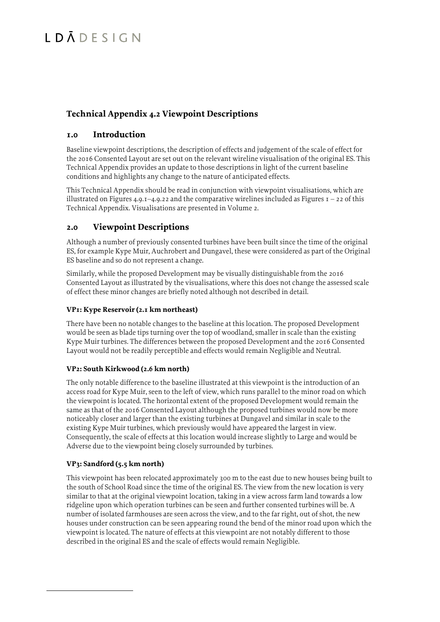### **Technical Appendix 4.2 Viewpoint Descriptions**

### **1.0 Introduction**

Baseline viewpoint descriptions, the description of effects and judgement of the scale of effect for the 2016 Consented Layout are set out on the relevant wireline visualisation of the original ES. This Technical Appendix provides an update to those descriptions in light of the current baseline conditions and highlights any change to the nature of anticipated effects.

This Technical Appendix should be read in conjunction with viewpoint visualisations, which are illustrated on Figures 4.9.1–4.9.22 and the comparative wirelines included as Figures  $I - 22$  of this Technical Appendix. Visualisations are presented in Volume 2.

### **2.0 Viewpoint Descriptions**

Although a number of previously consented turbines have been built since the time of the original ES, for example Kype Muir, Auchrobert and Dungavel, these were considered as part of the Original ES baseline and so do not represent a change.

Similarly, while the proposed Development may be visually distinguishable from the 2016 Consented Layout as illustrated by the visualisations, where this does not change the assessed scale of effect these minor changes are briefly noted although not described in detail.

#### **VP1: Kype Reservoir (2.1 km northeast)**

There have been no notable changes to the baseline at this location. The proposed Development would be seen as blade tips turning over the top of woodland, smaller in scale than the existing Kype Muir turbines. The differences between the proposed Development and the 2016 Consented Layout would not be readily perceptible and effects would remain Negligible and Neutral.

#### **VP2: South Kirkwood (2.6 km north)**

The only notable difference to the baseline illustrated at this viewpoint is the introduction of an access road for Kype Muir, seen to the left of view, which runs parallel to the minor road on which the viewpoint is located. The horizontal extent of the proposed Development would remain the same as that of the 2016 Consented Layout although the proposed turbines would now be more noticeably closer and larger than the existing turbines at Dungavel and similar in scale to the existing Kype Muir turbines, which previously would have appeared the largest in view. Consequently, the scale of effects at this location would increase slightly to Large and would be Adverse due to the viewpoint being closely surrounded by turbines.

#### **VP3: Sandford (5.5 km north)**

This viewpoint has been relocated approximately 300 m to the east due to new houses being built to the south of School Road since the time of the original ES. The view from the new location is very similar to that at the original viewpoint location, taking in a view across farm land towards a low ridgeline upon which operation turbines can be seen and further consented turbines will be. A number of isolated farmhouses are seen across the view, and to the far right, out of shot, the new houses under construction can be seen appearing round the bend of the minor road upon which the viewpoint is located. The nature of effects at this viewpoint are not notably different to those described in the original ES and the scale of effects would remain Negligible.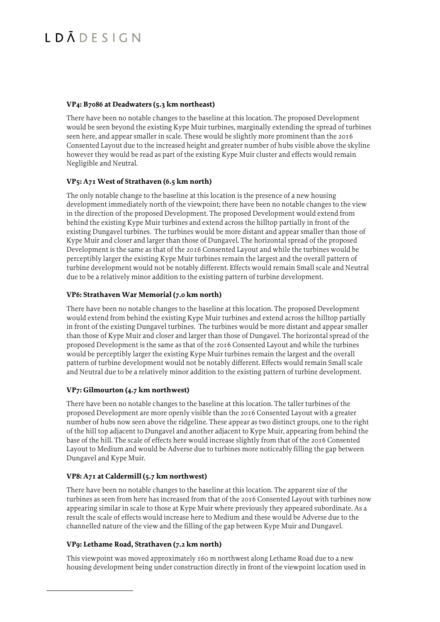#### **VP4: B7086 at Deadwaters (5.3 km northeast)**

There have been no notable changes to the baseline at this location. The proposed Development would be seen beyond the existing Kype Muir turbines, marginally extending the spread of turbines seen here, and appear smaller in scale. These would be slightly more prominent than the 2016 Consented Layout due to the increased height and greater number of hubs visible above the skyline however they would be read as part of the existing Kype Muir cluster and effects would remain Negligible and Neutral.

#### **VP5: A71 West of Strathaven (6.5 km north)**

The only notable change to the baseline at this location is the presence of a new housing development immediately north of the viewpoint; there have been no notable changes to the view in the direction of the proposed Development. The proposed Development would extend from behind the existing Kype Muir turbines and extend across the hilltop partially in front of the existing Dungavel turbines. The turbines would be more distant and appear smaller than those of Kype Muir and closer and larger than those of Dungavel. The horizontal spread of the proposed Development is the same as that of the 2016 Consented Layout and while the turbines would be perceptibly larger the existing Kype Muir turbines remain the largest and the overall pattern of turbine development would not be notably different. Effects would remain Small scale and Neutral due to be a relatively minor addition to the existing pattern of turbine development.

#### **VP6: Strathaven War Memorial (7.0 km north)**

There have been no notable changes to the baseline at this location. The proposed Development would extend from behind the existing Kype Muir turbines and extend across the hilltop partially in front of the existing Dungavel turbines. The turbines would be more distant and appear smaller than those of Kype Muir and closer and larger than those of Dungavel. The horizontal spread of the proposed Development is the same as that of the 2016 Consented Layout and while the turbines would be perceptibly larger the existing Kype Muir turbines remain the largest and the overall pattern of turbine development would not be notably different. Effects would remain Small scale and Neutral due to be a relatively minor addition to the existing pattern of turbine development.

#### **VP7: Gilmourton (4.7 km northwest)**

There have been no notable changes to the baseline at this location. The taller turbines of the proposed Development are more openly visible than the 2016 Consented Layout with a greater number of hubs now seen above the ridgeline. These appear as two distinct groups, one to the right of the hill top adjacent to Dungavel and another adjacent to Kype Muir, appearing from behind the base of the hill. The scale of effects here would increase slightly from that of the 2016 Consented Layout to Medium and would be Adverse due to turbines more noticeably filling the gap between Dungavel and Kype Muir.

#### **VP8: A71 at Caldermill (5.7 km northwest)**

There have been no notable changes to the baseline at this location. The apparent size of the turbines as seen from here has increased from that of the 2016 Consented Layout with turbines now appearing similar in scale to those at Kype Muir where previously they appeared subordinate. As a result the scale of effects would increase here to Medium and these would be Adverse due to the channelled nature of the view and the filling of the gap between Kype Muir and Dungavel.

#### **VP9: Lethame Road, Strathaven (7.2 km north)**

This viewpoint was moved approximately 160 m northwest along Lethame Road due to a new housing development being under construction directly in front of the viewpoint location used in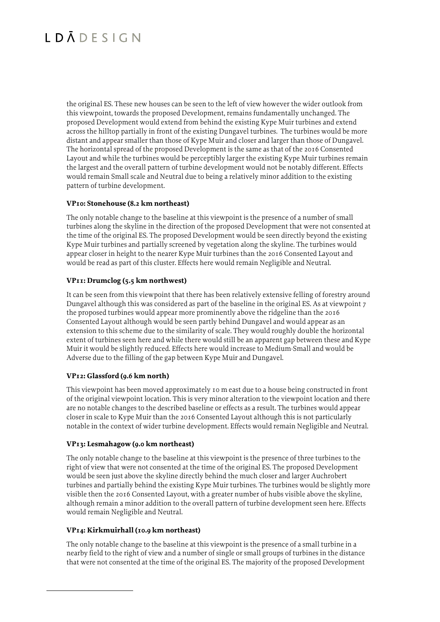the original ES. These new houses can be seen to the left of view however the wider outlook from this viewpoint, towards the proposed Development, remains fundamentally unchanged. The proposed Development would extend from behind the existing Kype Muir turbines and extend across the hilltop partially in front of the existing Dungavel turbines. The turbines would be more distant and appear smaller than those of Kype Muir and closer and larger than those of Dungavel. The horizontal spread of the proposed Development is the same as that of the 2016 Consented Layout and while the turbines would be perceptibly larger the existing Kype Muir turbines remain the largest and the overall pattern of turbine development would not be notably different. Effects would remain Small scale and Neutral due to being a relatively minor addition to the existing pattern of turbine development.

#### **VP10: Stonehouse (8.2 km northeast)**

The only notable change to the baseline at this viewpoint is the presence of a number of small turbines along the skyline in the direction of the proposed Development that were not consented at the time of the original ES. The proposed Development would be seen directly beyond the existing Kype Muir turbines and partially screened by vegetation along the skyline. The turbines would appear closer in height to the nearer Kype Muir turbines than the 2016 Consented Layout and would be read as part of this cluster. Effects here would remain Negligible and Neutral.

#### **VP11: Drumclog (5.5 km northwest)**

It can be seen from this viewpoint that there has been relatively extensive felling of forestry around Dungavel although this was considered as part of the baseline in the original ES. As at viewpoint 7 the proposed turbines would appear more prominently above the ridgeline than the 2016 Consented Layout although would be seen partly behind Dungavel and would appear as an extension to this scheme due to the similarity of scale. They would roughly double the horizontal extent of turbines seen here and while there would still be an apparent gap between these and Kype Muir it would be slightly reduced. Effects here would increase to Medium-Small and would be Adverse due to the filling of the gap between Kype Muir and Dungavel.

#### **VP12: Glassford (9.6 km north)**

This viewpoint has been moved approximately 10 m east due to a house being constructed in front of the original viewpoint location. This is very minor alteration to the viewpoint location and there are no notable changes to the described baseline or effects as a result. The turbines would appear closer in scale to Kype Muir than the 2016 Consented Layout although this is not particularly notable in the context of wider turbine development. Effects would remain Negligible and Neutral.

#### **VP13: Lesmahagow (9.0 km northeast)**

The only notable change to the baseline at this viewpoint is the presence of three turbines to the right of view that were not consented at the time of the original ES. The proposed Development would be seen just above the skyline directly behind the much closer and larger Auchrobert turbines and partially behind the existing Kype Muir turbines. The turbines would be slightly more visible then the 2016 Consented Layout, with a greater number of hubs visible above the skyline, although remain a minor addition to the overall pattern of turbine development seen here. Effects would remain Negligible and Neutral.

#### **VP14: Kirkmuirhall (10.9 km northeast)**

The only notable change to the baseline at this viewpoint is the presence of a small turbine in a nearby field to the right of view and a number of single or small groups of turbines in the distance that were not consented at the time of the original ES. The majority of the proposed Development